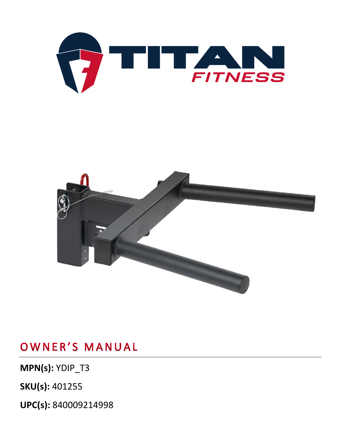**UPC(s):** 840009214998

**SKU(s):** 401255

**MPN(s):** YDIP\_T3

OWNER'S MANUAL



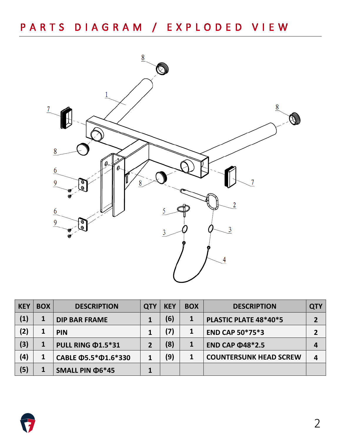

| <b>KEY</b> | <b>BOX</b> | <b>DESCRIPTION</b>               | <b>QTY</b> | <b>KEY</b> | <b>BOX</b> | <b>DESCRIPTION</b>            | <b>QTY</b> |
|------------|------------|----------------------------------|------------|------------|------------|-------------------------------|------------|
| (1)        | 1          | <b>DIP BAR FRAME</b>             |            | (6)        |            | PLASTIC PLATE 48*40*5         | 2          |
| (2)        | 1          | <b>PIN</b>                       |            | 7)         |            | <b>END CAP 50*75*3</b>        |            |
| (3)        |            | PULL RING ¢1.5*31                | 2          | (8)        |            | <b>END CAP @48*2.5</b>        | 4          |
| (4)        |            | CABLE $\Phi$ 5.5* $\Phi$ 1.6*330 | 1          | (9)        |            | <b>COUNTERSUNK HEAD SCREW</b> | 4          |
| (5)        |            | SMALL PIN $\Phi$ 6*45            |            |            |            |                               |            |